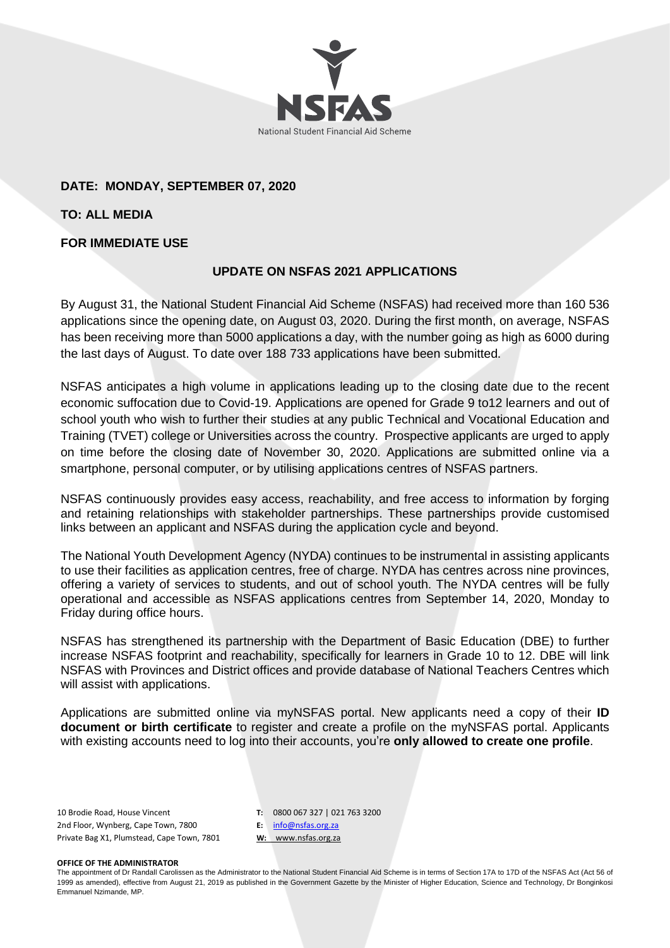

# **DATE: MONDAY, SEPTEMBER 07, 2020**

**TO: ALL MEDIA**

### **FOR IMMEDIATE USE**

# **UPDATE ON NSFAS 2021 APPLICATIONS**

By August 31, the National Student Financial Aid Scheme (NSFAS) had received more than 160 536 applications since the opening date, on August 03, 2020. During the first month, on average, NSFAS has been receiving more than 5000 applications a day, with the number going as high as 6000 during the last days of August. To date over 188 733 applications have been submitted.

NSFAS anticipates a high volume in applications leading up to the closing date due to the recent economic suffocation due to Covid-19. Applications are opened for Grade 9 to12 learners and out of school youth who wish to further their studies at any public Technical and Vocational Education and Training (TVET) college or Universities across the country. Prospective applicants are urged to apply on time before the closing date of November 30, 2020. Applications are submitted online via a smartphone, personal computer, or by utilising applications centres of NSFAS partners.

NSFAS continuously provides easy access, reachability, and free access to information by forging and retaining relationships with stakeholder partnerships. These partnerships provide customised links between an applicant and NSFAS during the application cycle and beyond.

The National Youth Development Agency (NYDA) continues to be instrumental in assisting applicants to use their facilities as application centres, free of charge. NYDA has centres across nine provinces, offering a variety of services to students, and out of school youth. The NYDA centres will be fully operational and accessible as NSFAS applications centres from September 14, 2020, Monday to Friday during office hours.

NSFAS has strengthened its partnership with the Department of Basic Education (DBE) to further increase NSFAS footprint and reachability, specifically for learners in Grade 10 to 12. DBE will link NSFAS with Provinces and District offices and provide database of National Teachers Centres which will assist with applications.

Applications are submitted online via myNSFAS portal. New applicants need a copy of their **ID document or birth certificate** to register and create a profile on the myNSFAS portal. Applicants with existing accounts need to log into their accounts, you're **only allowed to create one profile**.

10 Brodie Road, House Vincent 2nd Floor, Wynberg, Cape Town, 7800 Private Bag X1, Plumstead, Cape Town, 7801 **T:** 0800 067 327 | 021 763 3200 **E:** [info@nsfas.org.za](mailto:info@nsfas.org.za) **W:** www.nsfas.org.za

### **OFFICE OF THE ADMINISTRATOR**

The appointment of Dr Randall Carolissen as the Administrator to the National Student Financial Aid Scheme is in terms of Section 17A to 17D of the NSFAS Act (Act 56 of 1999 as amended), effective from August 21, 2019 as published in the Government Gazette by the Minister of Higher Education, Science and Technology, Dr Bonginkosi Emmanuel Nzimande, MP.